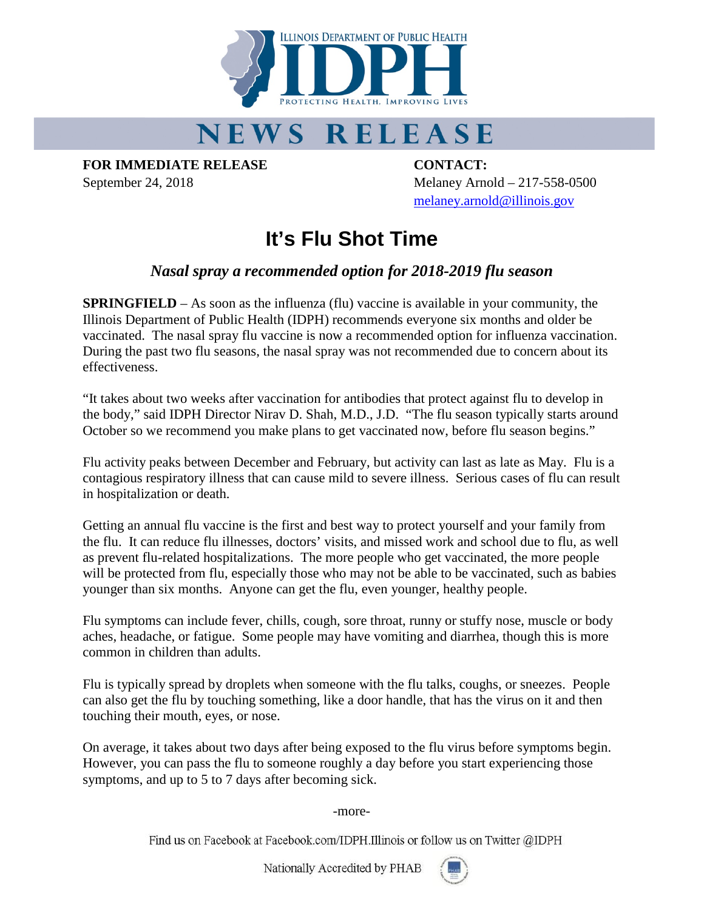

## NEWS RELEASE

**FOR IMMEDIATE RELEASE CONTACT:**

September 24, 2018 Melaney Arnold – 217-558-0500 [melaney.arnold@illinois.gov](mailto:melaney.arnold@illinois.gov)

## **It's Flu Shot Time**

## *Nasal spray a recommended option for 2018-2019 flu season*

**SPRINGFIELD** – As soon as the influenza (flu) vaccine is available in your community, the Illinois Department of Public Health (IDPH) recommends everyone six months and older be vaccinated. The nasal spray flu vaccine is now a recommended option for influenza vaccination. During the past two flu seasons, the nasal spray was not recommended due to concern about its effectiveness.

"It takes about two weeks after vaccination for antibodies that protect against flu to develop in the body," said IDPH Director Nirav D. Shah, M.D., J.D. "The flu season typically starts around October so we recommend you make plans to get vaccinated now, before flu season begins."

Flu activity peaks between December and February, but activity can last as late as May. Flu is a contagious respiratory illness that can cause mild to severe illness. Serious cases of flu can result in hospitalization or death.

Getting an annual flu vaccine is the first and best way to protect yourself and your family from the flu. It can reduce flu illnesses, doctors' visits, and missed work and school due to flu, as well as prevent flu-related hospitalizations. The more people who get vaccinated, the more people will be protected from flu, especially those who may not be able to be vaccinated, such as babies younger than six months. Anyone can get the flu, even younger, healthy people.

Flu symptoms can include fever, chills, cough, sore throat, runny or stuffy nose, muscle or body aches, headache, or fatigue. Some people may have vomiting and diarrhea, though this is more common in children than adults.

Flu is typically spread by droplets when someone with the flu talks, coughs, or sneezes. People can also get the flu by touching something, like a door handle, that has the virus on it and then touching their mouth, eyes, or nose.

On average, it takes about two days after being exposed to the flu virus before symptoms begin. However, you can pass the flu to someone roughly a day before you start experiencing those symptoms, and up to 5 to 7 days after becoming sick.

-more-

Find us on Facebook at Facebook.com/IDPH.Illinois or follow us on Twitter @IDPH

Nationally Accredited by PHAB